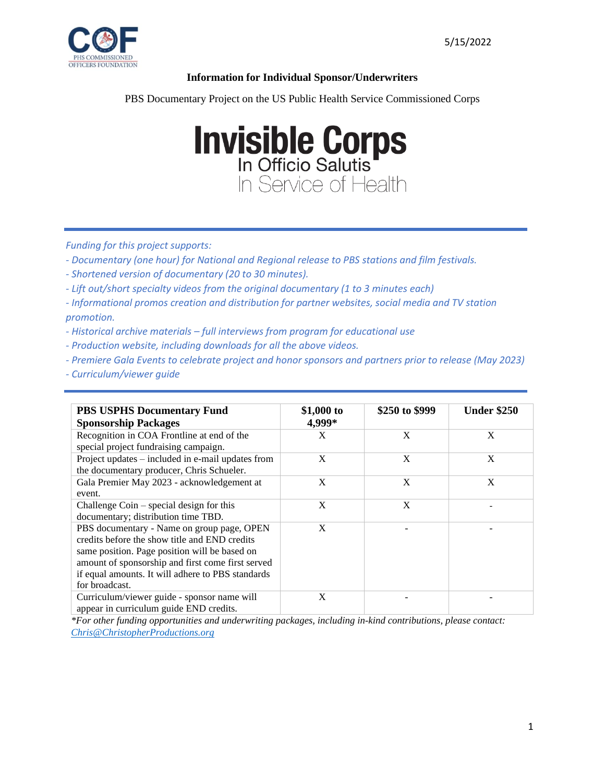

## **Information for Individual Sponsor/Underwriters**

PBS Documentary Project on the US Public Health Service Commissioned Corps

## **Invisible Corps** In Service of Health

*Funding for this project supports:*

- *- Documentary (one hour) for National and Regional release to PBS stations and film festivals.*
- *- Shortened version of documentary (20 to 30 minutes).*
- *- Lift out/short specialty videos from the original documentary (1 to 3 minutes each)*

*- Informational promos creation and distribution for partner websites, social media and TV station promotion.*

- *- Historical archive materials – full interviews from program for educational use*
- *- Production website, including downloads for all the above videos.*
- *- Premiere Gala Events to celebrate project and honor sponsors and partners prior to release (May 2023)*
- *- Curriculum/viewer guide*

| <b>PBS USPHS Documentary Fund</b><br><b>Sponsorship Packages</b> | \$1,000 to<br>4,999* | \$250 to \$999 | <b>Under \$250</b> |
|------------------------------------------------------------------|----------------------|----------------|--------------------|
| Recognition in COA Frontline at end of the                       | X                    | X              | X                  |
| special project fundraising campaign.                            |                      |                |                    |
| Project updates – included in e-mail updates from                | X                    | X              | X                  |
| the documentary producer, Chris Schueler.                        |                      |                |                    |
| Gala Premier May 2023 - acknowledgement at                       | X                    | X              | X                  |
| event.                                                           |                      |                |                    |
| Challenge Coin $-$ special design for this                       | X                    | X              |                    |
| documentary; distribution time TBD.                              |                      |                |                    |
| PBS documentary - Name on group page, OPEN                       | X                    |                |                    |
| credits before the show title and END credits                    |                      |                |                    |
| same position. Page position will be based on                    |                      |                |                    |
| amount of sponsorship and first come first served                |                      |                |                    |
| if equal amounts. It will adhere to PBS standards                |                      |                |                    |
| for broadcast.                                                   |                      |                |                    |
| Curriculum/viewer guide - sponsor name will                      | X                    |                |                    |
| appear in curriculum guide END credits.                          |                      |                |                    |

*\*For other funding opportunities and underwriting packages, including in-kind contributions, please contact: [Chris@ChristopherProductions.org](mailto:Chris@ChristopherProductions.org)*